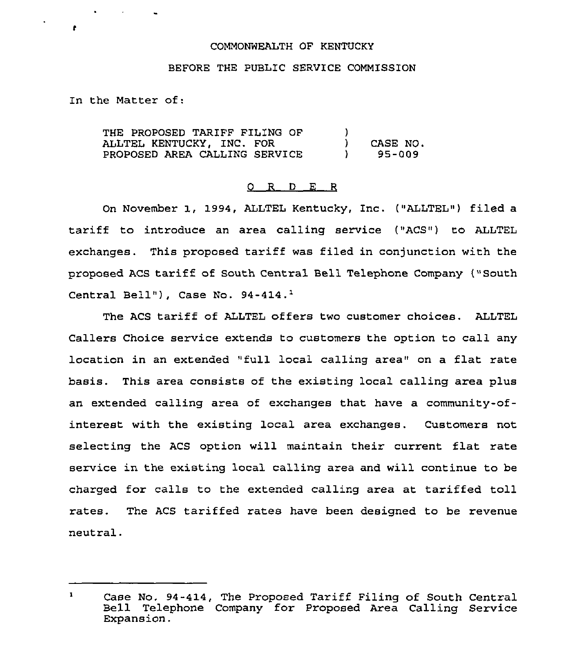## COMMONWEALTH OF KENTUCKY

## BEFORE THE PUBLIC SERVICE COMMISSION

In the Matter of:

**Contractor** 

 $\sim$  100  $\mu$ 

 $\bullet$ 

THE PROPOSED TARIFF FILING OF ALLTEL KENTUCKY, INC. FOR PROPOSED AREA CALLING SERVICE  $\begin{matrix} 1 \\ 1 \end{matrix}$ ) CASE NO.<br>
1 95-009 ) 95-009

## 0 R <sup>D</sup> E <sup>R</sup>

On November 1, 1994, ALLTEL Kentucky, Inc. ("ALLTEL") filed a tariff to introduce an area calling service ("ACS") to ALLTEL exchanges. This proposed tariff was filed in conjunction with the proposed ACS tariff of South Central Bell Telephone Company ("South Central Bell"), Case No.  $94-414.^1$ 

The ACS tariff of ALLTEL offers two customer choices. ALLTEL Callers Choice service extends to customers the option to call any location in an extended "full local calling area" on a flat rate basis. This area consists of the existing local calling area plus an extended calling area of exchanges that have a community-ofinterest with the existing local area exchanges. Customers not selecting the ACS option will maintain their current flat rate service in the existing local calling area and will continue to be charged for calls to the extended calling area at tariffed toll rates. The ACS tariffed rates have been designed to be revenue neutral.

 $\mathbf{I}$ Case No. 94-414, The Proposed Tariff Filing of South Central<br>Bell Telephone Company for Proposed Area Calling Service Expansion.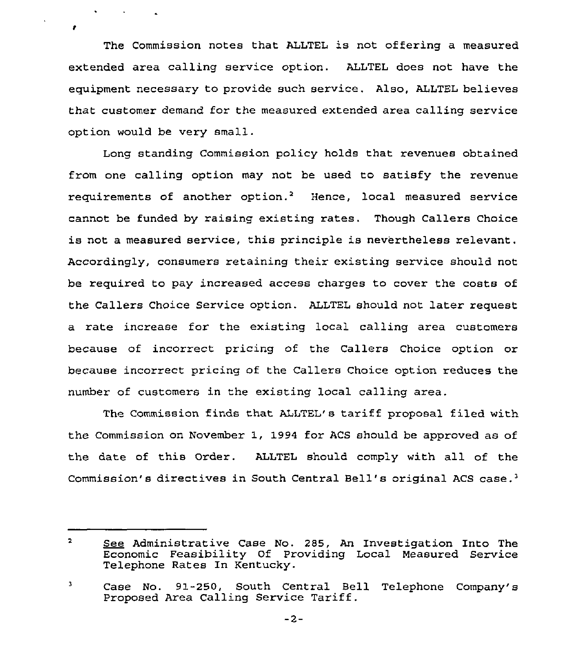The Commission notes that ALLTEL is not offering a measured extended area calling service option. ALLTEL does not have the equipment necessary to provide such service. Also, ALLTEL believes that customer demand for the measured extended area calling service option would be very small.

 $\ddot{\phantom{0}}$ 

 $\mathbf{r}$ 

**Contract Contract** 

Long standing Commission policy holds that revenues obtained from one calling option may not be used to satisfy the revenue requirements of another option.<sup>2</sup> Hence, local measured service cannot be funded by raising existing rates. Though Callers Choice is not a measured service, this principle is nevertheless relevant. Accordingly, consumers retaining their existing service should not be required to pay increased access charges to cover the costs of the Callers Choice Service option. ALLTEL should not later request a rate increase for the existing local calling area customers because of incorrect pricing of the Callers Choice option or because incorrect pricing of the Callers Choice option reduces the number of customers in the existing local calling area.

The Commission finds that ALLTEL's tariff proposal filed with the Commission on November 1, 1994 for ACS should be approved as of the date of this Order. ALLTEL should comply with all of the Commission's directives in South Central Bell's original ACS case.<sup>3</sup>

 $\overline{2}$ See Administrative Case No. 285, An Investigation Into The Economic Feasibility Of Providing Local Measured Service Telephone Rates In Kentucky.

<sup>3</sup> Case No. 91-250, South Central Bell Telephone Company's Proposed Area Calling Service Tariff.